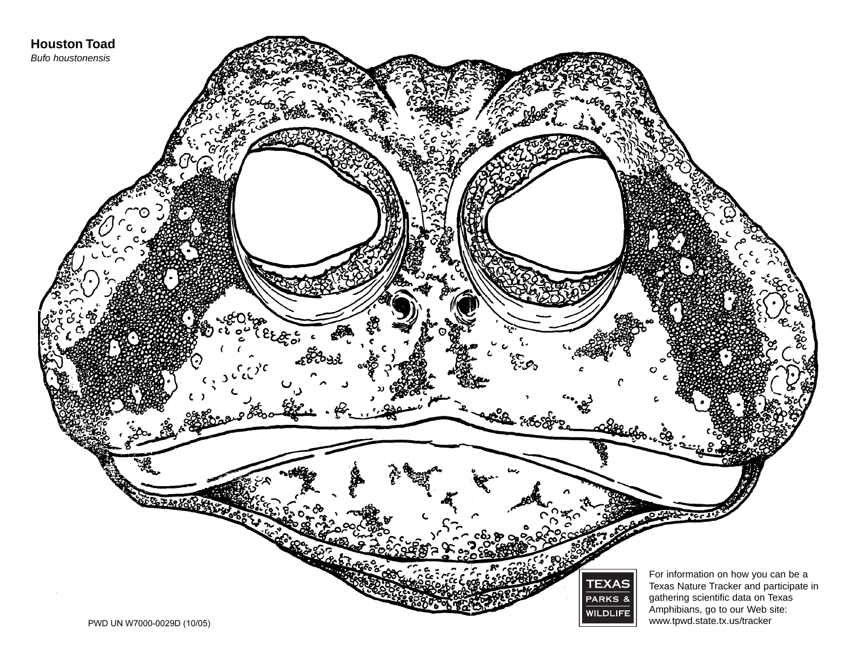